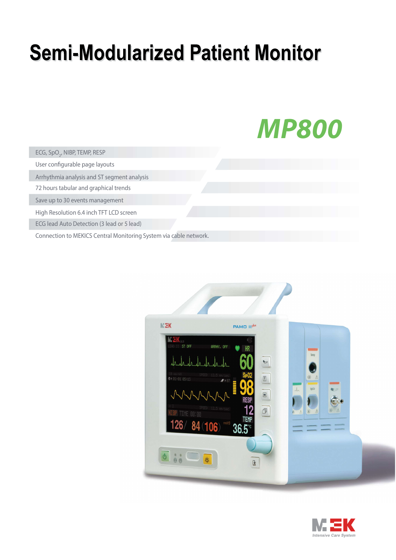## **Semi-Modularized Patient Monitor**



ECG, SpO<sub>2</sub>, NIBP, TEMP, RESP

User configurable page layouts

Arrhythmia analysis and ST segment analysis

72 hours tabular and graphical trends

Save up to 30 events management

High Resolution 6.4 inch TFT LCD screen

ECG lead Auto Detection (3 lead or 5 lead)

Connection to MEKICS Central Monitoring System via cable network.